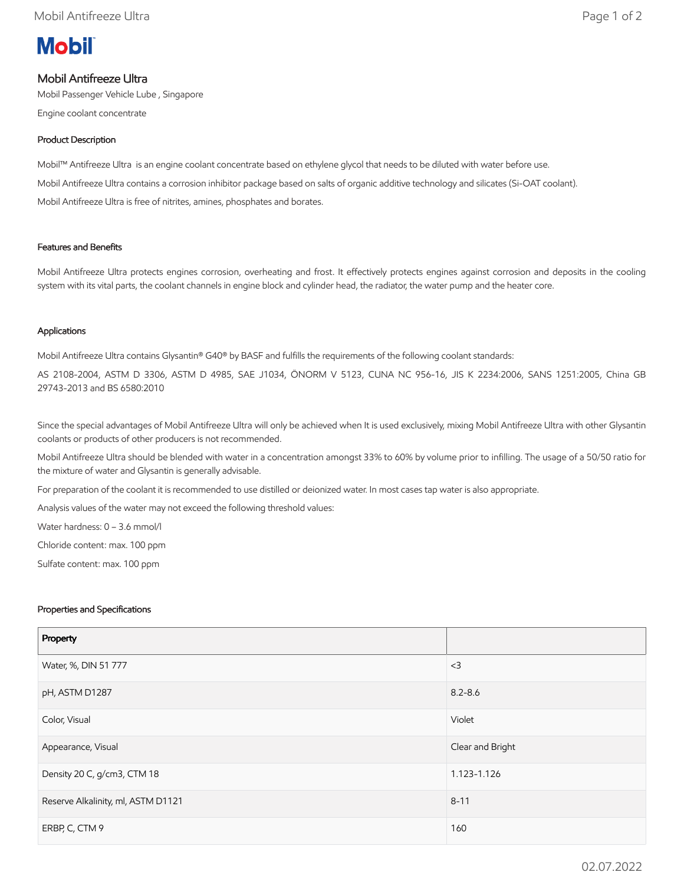# **Mobil**

## Mobil Antifreeze Ultra

Mobil Passenger Vehicle Lube , Singapore

Engine coolant concentrate

## Product Description

Mobil™ Antifreeze Ultra is an engine coolant concentrate based on ethylene glycol that needs to be diluted with water before use. Mobil Antifreeze Ultra contains a corrosion inhibitor package based on salts of organic additive technology and silicates (Si-OAT coolant). Mobil Antifreeze Ultra is free of nitrites, amines, phosphates and borates.

## Features and Benefits

Mobil Antifreeze Ultra protects engines corrosion, overheating and frost. It effectively protects engines against corrosion and deposits in the cooling system with its vital parts, the coolant channels in engine block and cylinder head, the radiator, the water pump and the heater core.

#### Applications

Mobil Antifreeze Ultra contains Glysantin® G40® by BASF and fulfills the requirements of the following coolant standards:

AS 2108-2004, ASTM D 3306, ASTM D 4985, SAE J1034, ÖNORM V 5123, CUNA NC 956-16, JIS K 2234:2006, SANS 1251:2005, China GB 29743-2013 and BS 6580:2010

Since the special advantages of Mobil Antifreeze Ultra will only be achieved when It is used exclusively, mixing Mobil Antifreeze Ultra with other Glysantin coolants or products of other producers is not recommended.

Mobil Antifreeze Ultra should be blended with water in a concentration amongst 33% to 60% by volume prior to infilling. The usage of a 50/50 ratio for the mixture of water and Glysantin is generally advisable.

For preparation of the coolant it is recommended to use distilled or deionized water. In most cases tap water is also appropriate.

Analysis values of the water may not exceed the following threshold values:

Water hardness: 0 – 3.6 mmol/l

Chloride content: max. 100 ppm

Sulfate content: max. 100 ppm

#### Properties and Specifications

| Property                           |                  |
|------------------------------------|------------------|
| Water, %, DIN 51 777               | $<$ 3            |
| pH, ASTM D1287                     | $8.2 - 8.6$      |
| Color, Visual                      | Violet           |
| Appearance, Visual                 | Clear and Bright |
| Density 20 C, g/cm3, CTM 18        | 1.123-1.126      |
| Reserve Alkalinity, ml, ASTM D1121 | $8 - 11$         |
| ERBP, C, CTM 9                     | 160              |